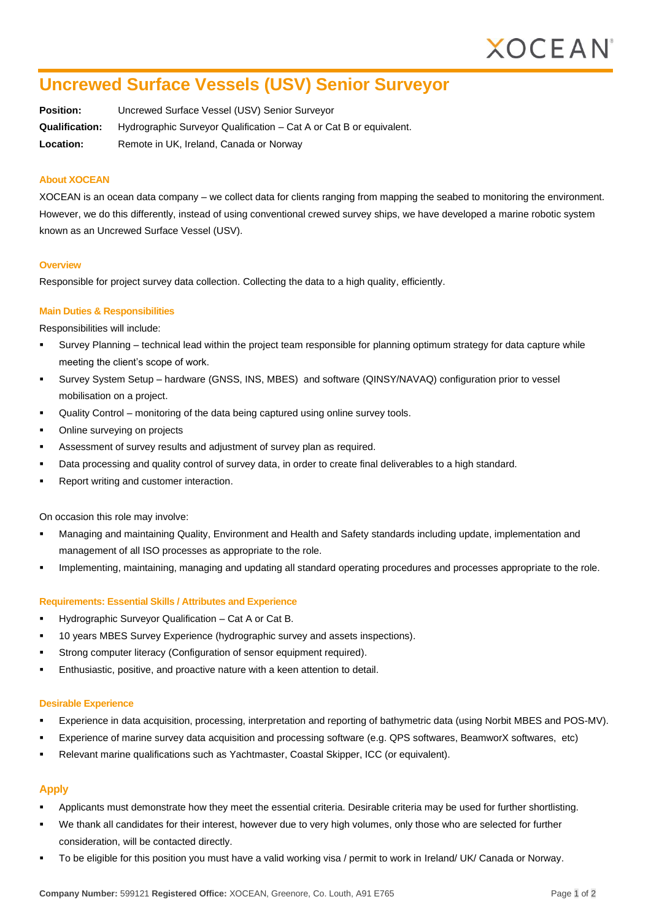# **Uncrewed Surface Vessels (USV) Senior Surveyor**

**Position:** Uncrewed Surface Vessel (USV) Senior Surveyor **Qualification:** Hydrographic Surveyor Qualification – Cat A or Cat B or equivalent. **Location:** Remote in UK, Ireland, Canada or Norway

### **About XOCEAN**

XOCEAN is an ocean data company – we collect data for clients ranging from mapping the seabed to monitoring the environment. However, we do this differently, instead of using conventional crewed survey ships, we have developed a marine robotic system known as an Uncrewed Surface Vessel (USV).

#### **Overview**

Responsible for project survey data collection. Collecting the data to a high quality, efficiently.

## **Main Duties & Responsibilities**

Responsibilities will include:

- Survey Planning technical lead within the project team responsible for planning optimum strategy for data capture while meeting the client's scope of work.
- Survey System Setup hardware (GNSS, INS, MBES) and software (QINSY/NAVAQ) configuration prior to vessel mobilisation on a project.
- Quality Control monitoring of the data being captured using online survey tools.
- Online surveying on projects
- Assessment of survey results and adjustment of survey plan as required.
- Data processing and quality control of survey data, in order to create final deliverables to a high standard.
- Report writing and customer interaction.

On occasion this role may involve:

- Managing and maintaining Quality, Environment and Health and Safety standards including update, implementation and management of all ISO processes as appropriate to the role.
- Implementing, maintaining, managing and updating all standard operating procedures and processes appropriate to the role.

#### **Requirements: Essential Skills / Attributes and Experience**

- Hydrographic Surveyor Qualification Cat A or Cat B.
- 10 years MBES Survey Experience (hydrographic survey and assets inspections).
- Strong computer literacy (Configuration of sensor equipment required).
- Enthusiastic, positive, and proactive nature with a keen attention to detail.

#### **Desirable Experience**

- Experience in data acquisition, processing, interpretation and reporting of bathymetric data (using Norbit MBES and POS-MV).
- Experience of marine survey data acquisition and processing software (e.g. QPS softwares, BeamworX softwares, etc)
- Relevant marine qualifications such as Yachtmaster, Coastal Skipper, ICC (or equivalent).

#### **Apply**

- Applicants must demonstrate how they meet the essential criteria. Desirable criteria may be used for further shortlisting.
- We thank all candidates for their interest, however due to very high volumes, only those who are selected for further consideration, will be contacted directly.
- To be eligible for this position you must have a valid working visa / permit to work in Ireland/ UK/ Canada or Norway.